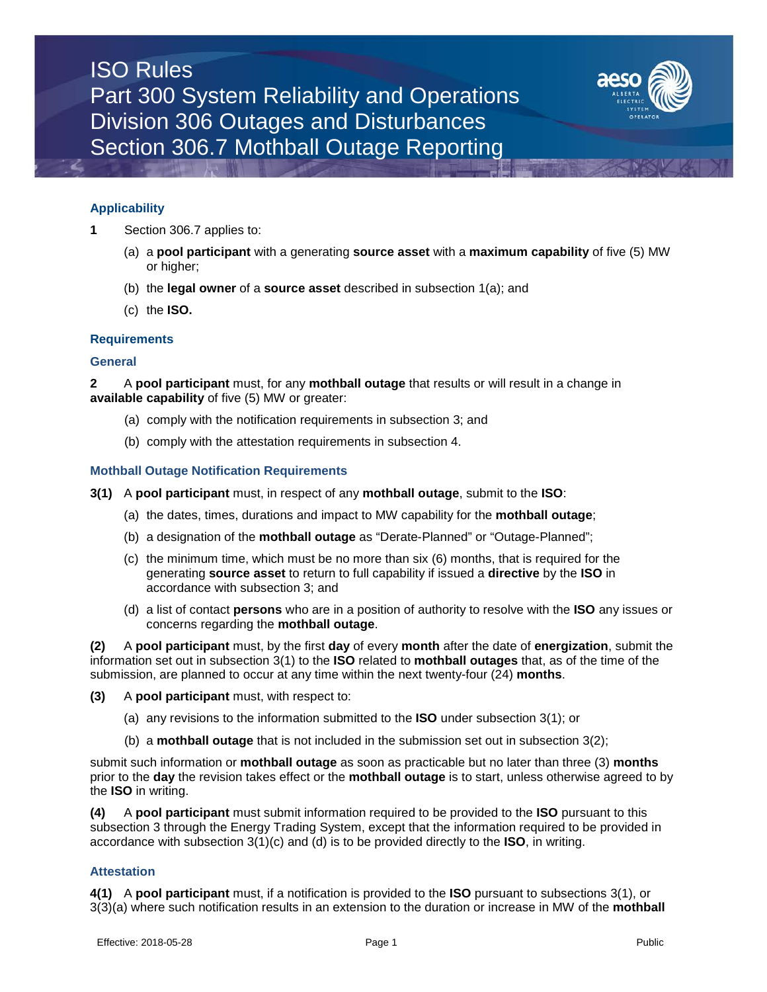# ISO Rules Part 300 System Reliability and Operations Division 306 Outages and Disturbances Section 306.7 Mothball Outage Reporting



## **Applicability**

- **1** Section 306.7 applies to:
	- (a) a **pool participant** with a generating **source asset** with a **maximum capability** of five (5) MW or higher;
	- (b) the **legal owner** of a **source asset** described in subsection 1(a); and
	- (c) the **ISO.**

## **Requirements**

### **General**

**2** A **pool participant** must, for any **mothball outage** that results or will result in a change in **available capability** of five (5) MW or greater:

- (a) comply with the notification requirements in subsection 3; and
- (b) comply with the attestation requirements in subsection 4.

## **Mothball Outage Notification Requirements**

- **3(1)** A **pool participant** must, in respect of any **mothball outage**, submit to the **ISO**:
	- (a) the dates, times, durations and impact to MW capability for the **mothball outage**;
	- (b) a designation of the **mothball outage** as "Derate-Planned" or "Outage-Planned";
	- (c) the minimum time, which must be no more than six (6) months, that is required for the generating **source asset** to return to full capability if issued a **directive** by the **ISO** in accordance with subsection 3; and
	- (d) a list of contact **persons** who are in a position of authority to resolve with the **ISO** any issues or concerns regarding the **mothball outage**.

**(2)** A **pool participant** must, by the first **day** of every **month** after the date of **energization**, submit the information set out in subsection 3(1) to the **ISO** related to **mothball outages** that, as of the time of the submission, are planned to occur at any time within the next twenty-four (24) **months**.

- **(3)** A **pool participant** must, with respect to:
	- (a) any revisions to the information submitted to the **ISO** under subsection 3(1); or
	- (b) a **mothball outage** that is not included in the submission set out in subsection 3(2);

submit such information or **mothball outage** as soon as practicable but no later than three (3) **months** prior to the **day** the revision takes effect or the **mothball outage** is to start, unless otherwise agreed to by the **ISO** in writing.

**(4)** A **pool participant** must submit information required to be provided to the **ISO** pursuant to this subsection 3 through the Energy Trading System, except that the information required to be provided in accordance with subsection 3(1)(c) and (d) is to be provided directly to the **ISO**, in writing.

## **Attestation**

**4(1)** A **pool participant** must, if a notification is provided to the **ISO** pursuant to subsections 3(1), or 3(3)(a) where such notification results in an extension to the duration or increase in MW of the **mothball**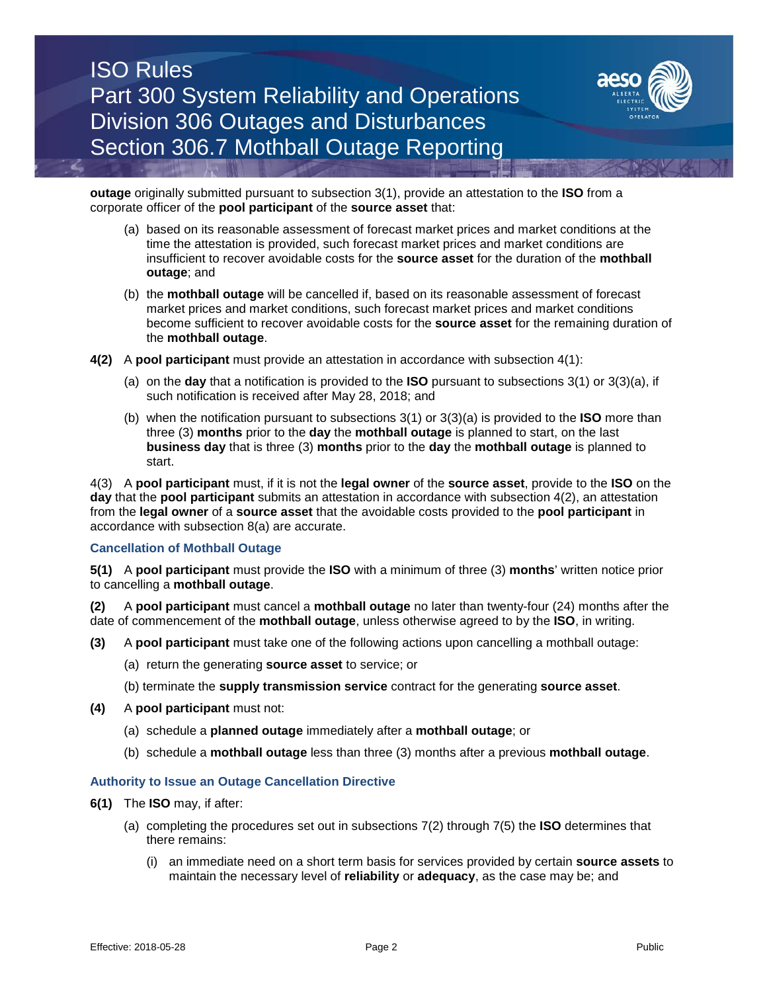# ISO Rules Part 300 System Reliability and Operations Division 306 Outages and Disturbances Section 306.7 Mothball Outage Reporting



**outage** originally submitted pursuant to subsection 3(1), provide an attestation to the **ISO** from a corporate officer of the **pool participant** of the **source asset** that:

- (a) based on its reasonable assessment of forecast market prices and market conditions at the time the attestation is provided, such forecast market prices and market conditions are insufficient to recover avoidable costs for the **source asset** for the duration of the **mothball outage**; and
- (b) the **mothball outage** will be cancelled if, based on its reasonable assessment of forecast market prices and market conditions, such forecast market prices and market conditions become sufficient to recover avoidable costs for the **source asset** for the remaining duration of the **mothball outage**.
- **4(2)** A **pool participant** must provide an attestation in accordance with subsection 4(1):
	- (a) on the **day** that a notification is provided to the **ISO** pursuant to subsections 3(1) or 3(3)(a), if such notification is received after May 28, 2018; and
	- (b) when the notification pursuant to subsections 3(1) or 3(3)(a) is provided to the **ISO** more than three (3) **months** prior to the **day** the **mothball outage** is planned to start, on the last **business day** that is three (3) **months** prior to the **day** the **mothball outage** is planned to start.

4(3) A **pool participant** must, if it is not the **legal owner** of the **source asset**, provide to the **ISO** on the **day** that the **pool participant** submits an attestation in accordance with subsection 4(2), an attestation from the **legal owner** of a **source asset** that the avoidable costs provided to the **pool participant** in accordance with subsection 8(a) are accurate.

## **Cancellation of Mothball Outage**

**5(1)** A **pool participant** must provide the **ISO** with a minimum of three (3) **months**' written notice prior to cancelling a **mothball outage**.

**(2)** A **pool participant** must cancel a **mothball outage** no later than twenty-four (24) months after the date of commencement of the **mothball outage**, unless otherwise agreed to by the **ISO**, in writing.

- **(3)** A **pool participant** must take one of the following actions upon cancelling a mothball outage:
	- (a) return the generating **source asset** to service; or
	- (b) terminate the **supply transmission service** contract for the generating **source asset**.
- **(4)** A **pool participant** must not:
	- (a) schedule a **planned outage** immediately after a **mothball outage**; or
	- (b) schedule a **mothball outage** less than three (3) months after a previous **mothball outage**.

### **Authority to Issue an Outage Cancellation Directive**

- **6(1)** The **ISO** may, if after:
	- (a) completing the procedures set out in subsections 7(2) through 7(5) the **ISO** determines that there remains:
		- (i) an immediate need on a short term basis for services provided by certain **source assets** to maintain the necessary level of **reliability** or **adequacy**, as the case may be; and